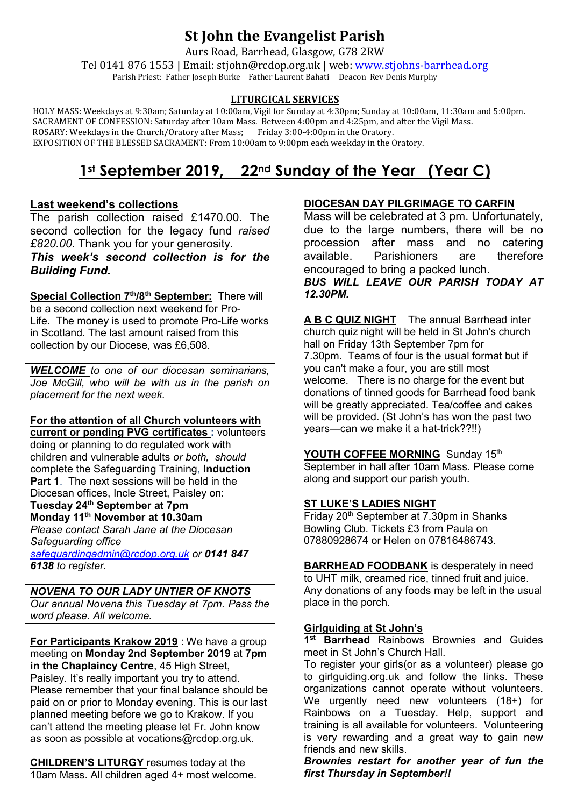## **St John the Evangelist Parish**

Aurs Road, Barrhead, Glasgow, G78 2RW

Tel 0141 876 1553 | Email: stjohn@rcdop.org.uk | web: [www.stjohns-barrhead.org](http://www.stjohns-barrhead.org/) Parish Priest: Father Joseph Burke Father Laurent Bahati Deacon Rev Denis Murphy

#### **LITURGICAL SERVICES**

 HOLY MASS: Weekdays at 9:30am; Saturday at 10:00am, Vigil for Sunday at 4:30pm; Sunday at 10:00am, 11:30am and 5:00pm. SACRAMENT OF CONFESSION: Saturday after 10am Mass. Between 4:00pm and 4:25pm, and after the Vigil Mass.<br>ROSARY: Weekdays in the Church/Oratory after Mass; Friday 3:00-4:00pm in the Oratory. ROSARY: Weekdays in the Church/Oratory after Mass; Friday 3:00-4:00pm in the Oratory. EXPOSITION OF THE BLESSED SACRAMENT: From 10:00am to 9:00pm each weekday in the Oratory.

# **1st September 2019, 22nd Sunday of the Year (Year C)**

## **Last weekend's collections**

The parish collection raised £1470.00. The second collection for the legacy fund *raised £820.00*. Thank you for your generosity. *This week's second collection is for the Building Fund.*

**Special Collection 7th/8th September:** There will be a second collection next weekend for Pro-Life. The money is used to promote Pro-Life works in Scotland. The last amount raised from this collection by our Diocese, was £6,508.

*WELCOME to one of our diocesan seminarians, Joe McGill, who will be with us in the parish on placement for the next week.* 

### **For the attention of all Church volunteers with**

**current or pending PVG certificates :** volunteers doing or planning to do regulated work with children and vulnerable adults *or both, should* complete the Safeguarding Training, **Induction Part 1**. The next sessions will be held in the Diocesan offices, Incle Street, Paisley on: **Tuesday 24th September at 7pm Monday 11th November at 10.30am** *Please contact Sarah Jane at the Diocesan Safeguarding office [safeguardingadmin@rcdop.org.uk](mailto:safeguardingadmin@rcdop.org.uk) or 0141 847 6138 to register.*

*NOVENA TO OUR LADY UNTIER OF KNOTS Our annual Novena this Tuesday at 7pm. Pass the word please. All welcome.*

**For Participants Krakow 2019** : We have a group meeting on **Monday 2nd September 2019** at **7pm in the Chaplaincy Centre**, 45 High Street, Paisley. It's really important you try to attend. Please remember that your final balance should be paid on or prior to Monday evening. This is our last planned meeting before we go to Krakow. If you can't attend the meeting please let Fr. John know as soon as possible at [vocations@rcdop.org.uk.](mailto:vocations@rcdop.org.uk)

**CHILDREN'S LITURGY** resumes today at the 10am Mass. All children aged 4+ most welcome.

## **DIOCESAN DAY PILGRIMAGE TO CARFIN**

Mass will be celebrated at 3 pm. Unfortunately, due to the large numbers, there will be no procession after mass and no catering available. Parishioners are therefore encouraged to bring a packed lunch. *BUS WILL LEAVE OUR PARISH TODAY AT 12.30PM.*

**A B C QUIZ NIGHT** The annual Barrhead inter church quiz night will be held in St John's church hall on Friday 13th September 7pm for 7.30pm. Teams of four is the usual format but if you can't make a four, you are still most welcome. There is no charge for the event but donations of tinned goods for Barrhead food bank will be greatly appreciated. Tea/coffee and cakes will be provided. (St John's has won the past two years—can we make it a hat-trick??!!)

### YOUTH COFFEE MORNING Sunday 15th

September in hall after 10am Mass. Please come along and support our parish youth.

### **ST LUKE'S LADIES NIGHT**

Friday 20th September at 7.30pm in Shanks Bowling Club. Tickets £3 from Paula on 07880928674 or Helen on 07816486743.

**BARRHEAD FOODBANK** is desperately in need to UHT milk, creamed rice, tinned fruit and juice. Any donations of any foods may be left in the usual place in the porch.

### **Girlguiding at St John's**

**1st Barrhead** Rainbows Brownies and Guides meet in St John's Church Hall.

To register your girls(or as a volunteer) please go to girlguiding.org.uk and follow the links. These organizations cannot operate without volunteers. We urgently need new volunteers (18+) for Rainbows on a Tuesday. Help, support and training is all available for volunteers. Volunteering is very rewarding and a great way to gain new friends and new skills.

*Brownies restart for another year of fun the first Thursday in September!!*